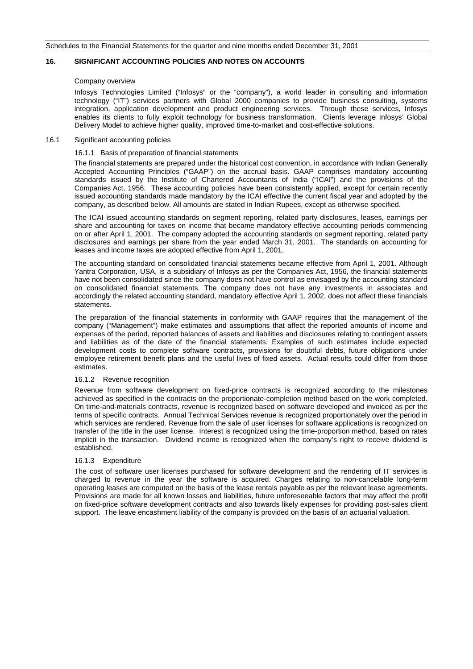## **16. SIGNIFICANT ACCOUNTING POLICIES AND NOTES ON ACCOUNTS**

#### Company overview

Infosys Technologies Limited ("Infosys" or the "company"), a world leader in consulting and information technology ("IT") services partners with Global 2000 companies to provide business consulting, systems integration, application development and product engineering services. Through these services, Infosys enables its clients to fully exploit technology for business transformation. Clients leverage Infosys' Global Delivery Model to achieve higher quality, improved time-to-market and cost-effective solutions.

#### 16.1 Significant accounting policies

### 16.1.1 Basis of preparation of financial statements

The financial statements are prepared under the historical cost convention, in accordance with Indian Generally Accepted Accounting Principles ("GAAP") on the accrual basis. GAAP comprises mandatory accounting standards issued by the Institute of Chartered Accountants of India ("ICAI") and the provisions of the Companies Act, 1956. These accounting policies have been consistently applied, except for certain recently issued accounting standards made mandatory by the ICAI effective the current fiscal year and adopted by the company, as described below. All amounts are stated in Indian Rupees, except as otherwise specified.

The ICAI issued accounting standards on segment reporting, related party disclosures, leases, earnings per share and accounting for taxes on income that became mandatory effective accounting periods commencing on or after April 1, 2001. The company adopted the accounting standards on segment reporting, related party disclosures and earnings per share from the year ended March 31, 2001. The standards on accounting for leases and income taxes are adopted effective from April 1, 2001.

The accounting standard on consolidated financial statements became effective from April 1, 2001. Although Yantra Corporation, USA, is a subsidiary of Infosys as per the Companies Act, 1956, the financial statements have not been consolidated since the company does not have control as envisaged by the accounting standard on consolidated financial statements. The company does not have any investments in associates and accordingly the related accounting standard, mandatory effective April 1, 2002, does not affect these financials statements.

The preparation of the financial statements in conformity with GAAP requires that the management of the company ("Management") make estimates and assumptions that affect the reported amounts of income and expenses of the period, reported balances of assets and liabilities and disclosures relating to contingent assets and liabilities as of the date of the financial statements. Examples of such estimates include expected development costs to complete software contracts, provisions for doubtful debts, future obligations under employee retirement benefit plans and the useful lives of fixed assets. Actual results could differ from those estimates.

#### 16.1.2 Revenue recognition

Revenue from software development on fixed-price contracts is recognized according to the milestones achieved as specified in the contracts on the proportionate-completion method based on the work completed. On time-and-materials contracts, revenue is recognized based on software developed and invoiced as per the terms of specific contracts. Annual Technical Services revenue is recognized proportionately over the period in which services are rendered. Revenue from the sale of user licenses for software applications is recognized on transfer of the title in the user license. Interest is recognized using the time-proportion method, based on rates implicit in the transaction. Dividend income is recognized when the company's right to receive dividend is established.

# 16.1.3 Expenditure

The cost of software user licenses purchased for software development and the rendering of IT services is charged to revenue in the year the software is acquired. Charges relating to non-cancelable long-term operating leases are computed on the basis of the lease rentals payable as per the relevant lease agreements. Provisions are made for all known losses and liabilities, future unforeseeable factors that may affect the profit on fixed-price software development contracts and also towards likely expenses for providing post-sales client support. The leave encashment liability of the company is provided on the basis of an actuarial valuation.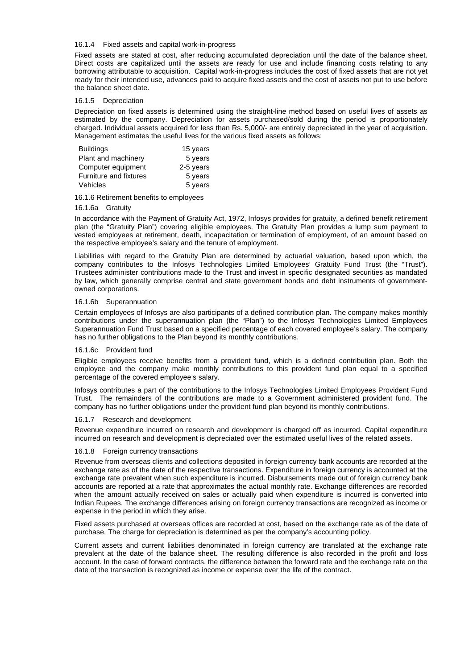## 16.1.4 Fixed assets and capital work-in-progress

Fixed assets are stated at cost, after reducing accumulated depreciation until the date of the balance sheet. Direct costs are capitalized until the assets are ready for use and include financing costs relating to any borrowing attributable to acquisition. Capital work-in-progress includes the cost of fixed assets that are not yet ready for their intended use, advances paid to acquire fixed assets and the cost of assets not put to use before the balance sheet date.

### 16.1.5 Depreciation

Depreciation on fixed assets is determined using the straight-line method based on useful lives of assets as estimated by the company. Depreciation for assets purchased/sold during the period is proportionately charged. Individual assets acquired for less than Rs. 5,000/- are entirely depreciated in the year of acquisition. Management estimates the useful lives for the various fixed assets as follows:

| <b>Buildings</b>       | 15 years  |
|------------------------|-----------|
| Plant and machinery    | 5 years   |
| Computer equipment     | 2-5 years |
| Furniture and fixtures | 5 years   |
| Vehicles               | 5 years   |

16.1.6 Retirement benefits to employees

#### 16.1.6a Gratuity

In accordance with the Payment of Gratuity Act, 1972, Infosys provides for gratuity, a defined benefit retirement plan (the "Gratuity Plan") covering eligible employees. The Gratuity Plan provides a lump sum payment to vested employees at retirement, death, incapacitation or termination of employment, of an amount based on the respective employee's salary and the tenure of employment.

Liabilities with regard to the Gratuity Plan are determined by actuarial valuation, based upon which, the company contributes to the Infosys Technologies Limited Employees' Gratuity Fund Trust (the "Trust"). Trustees administer contributions made to the Trust and invest in specific designated securities as mandated by law, which generally comprise central and state government bonds and debt instruments of governmentowned corporations.

### 16.1.6b Superannuation

Certain employees of Infosys are also participants of a defined contribution plan. The company makes monthly contributions under the superannuation plan (the "Plan") to the Infosys Technologies Limited Employees Superannuation Fund Trust based on a specified percentage of each covered employee's salary. The company has no further obligations to the Plan beyond its monthly contributions.

#### 16.1.6c Provident fund

Eligible employees receive benefits from a provident fund, which is a defined contribution plan. Both the employee and the company make monthly contributions to this provident fund plan equal to a specified percentage of the covered employee's salary.

Infosys contributes a part of the contributions to the Infosys Technologies Limited Employees Provident Fund Trust. The remainders of the contributions are made to a Government administered provident fund. The company has no further obligations under the provident fund plan beyond its monthly contributions.

# 16.1.7 Research and development

Revenue expenditure incurred on research and development is charged off as incurred. Capital expenditure incurred on research and development is depreciated over the estimated useful lives of the related assets.

#### 16.1.8 Foreign currency transactions

Revenue from overseas clients and collections deposited in foreign currency bank accounts are recorded at the exchange rate as of the date of the respective transactions. Expenditure in foreign currency is accounted at the exchange rate prevalent when such expenditure is incurred. Disbursements made out of foreign currency bank accounts are reported at a rate that approximates the actual monthly rate. Exchange differences are recorded when the amount actually received on sales or actually paid when expenditure is incurred is converted into Indian Rupees. The exchange differences arising on foreign currency transactions are recognized as income or expense in the period in which they arise.

Fixed assets purchased at overseas offices are recorded at cost, based on the exchange rate as of the date of purchase. The charge for depreciation is determined as per the company's accounting policy.

Current assets and current liabilities denominated in foreign currency are translated at the exchange rate prevalent at the date of the balance sheet. The resulting difference is also recorded in the profit and loss account. In the case of forward contracts, the difference between the forward rate and the exchange rate on the date of the transaction is recognized as income or expense over the life of the contract.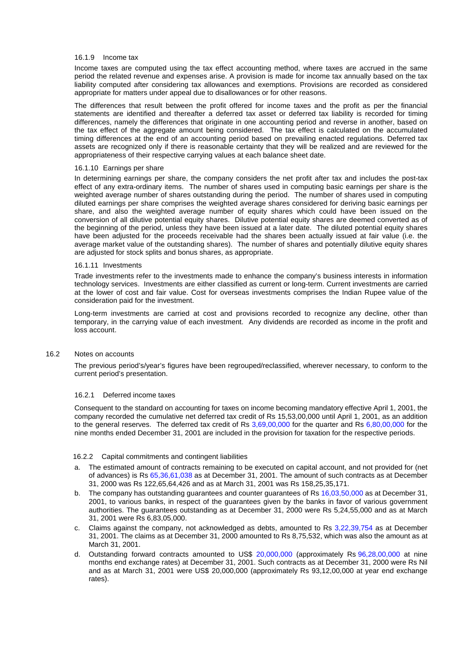## 16.1.9 Income tax

Income taxes are computed using the tax effect accounting method, where taxes are accrued in the same period the related revenue and expenses arise. A provision is made for income tax annually based on the tax liability computed after considering tax allowances and exemptions. Provisions are recorded as considered appropriate for matters under appeal due to disallowances or for other reasons.

The differences that result between the profit offered for income taxes and the profit as per the financial statements are identified and thereafter a deferred tax asset or deferred tax liability is recorded for timing differences, namely the differences that originate in one accounting period and reverse in another, based on the tax effect of the aggregate amount being considered. The tax effect is calculated on the accumulated timing differences at the end of an accounting period based on prevailing enacted regulations. Deferred tax assets are recognized only if there is reasonable certainty that they will be realized and are reviewed for the appropriateness of their respective carrying values at each balance sheet date.

# 16.1.10 Earnings per share

In determining earnings per share, the company considers the net profit after tax and includes the post-tax effect of any extra-ordinary items. The number of shares used in computing basic earnings per share is the weighted average number of shares outstanding during the period. The number of shares used in computing diluted earnings per share comprises the weighted average shares considered for deriving basic earnings per share, and also the weighted average number of equity shares which could have been issued on the conversion of all dilutive potential equity shares. Dilutive potential equity shares are deemed converted as of the beginning of the period, unless they have been issued at a later date. The diluted potential equity shares have been adjusted for the proceeds receivable had the shares been actually issued at fair value (i.e. the average market value of the outstanding shares). The number of shares and potentially dilutive equity shares are adjusted for stock splits and bonus shares, as appropriate.

#### 16.1.11 Investments

Trade investments refer to the investments made to enhance the company's business interests in information technology services. Investments are either classified as current or long-term. Current investments are carried at the lower of cost and fair value. Cost for overseas investments comprises the Indian Rupee value of the consideration paid for the investment.

Long-term investments are carried at cost and provisions recorded to recognize any decline, other than temporary, in the carrying value of each investment. Any dividends are recorded as income in the profit and loss account.

# 16.2 Notes on accounts

The previous period's/year's figures have been regrouped/reclassified, wherever necessary, to conform to the current period's presentation.

## 16.2.1 Deferred income taxes

Consequent to the standard on accounting for taxes on income becoming mandatory effective April 1, 2001, the company recorded the cumulative net deferred tax credit of Rs 15,53,00,000 until April 1, 2001, as an addition to the general reserves. The deferred tax credit of Rs 3,69,00,000 for the quarter and Rs 6,80,00,000 for the nine months ended December 31, 2001 are included in the provision for taxation for the respective periods.

#### 16.2.2 Capital commitments and contingent liabilities

- a. The estimated amount of contracts remaining to be executed on capital account, and not provided for (net of advances) is Rs 65,36,61,038 as at December 31, 2001. The amount of such contracts as at December 31, 2000 was Rs 122,65,64,426 and as at March 31, 2001 was Rs 158,25,35,171.
- b. The company has outstanding guarantees and counter guarantees of Rs 16,03,50,000 as at December 31, 2001, to various banks, in respect of the guarantees given by the banks in favor of various government authorities. The guarantees outstanding as at December 31, 2000 were Rs 5,24,55,000 and as at March 31, 2001 were Rs 6,83,05,000.
- c. Claims against the company, not acknowledged as debts, amounted to Rs 3,22,39,754 as at December 31, 2001. The claims as at December 31, 2000 amounted to Rs 8,75,532, which was also the amount as at March 31, 2001.
- d. Outstanding forward contracts amounted to US\$ 20,000,000 (approximately Rs 96,28,00,000 at nine months end exchange rates) at December 31, 2001. Such contracts as at December 31, 2000 were Rs Nil and as at March 31, 2001 were US\$ 20,000,000 (approximately Rs 93,12,00,000 at year end exchange rates).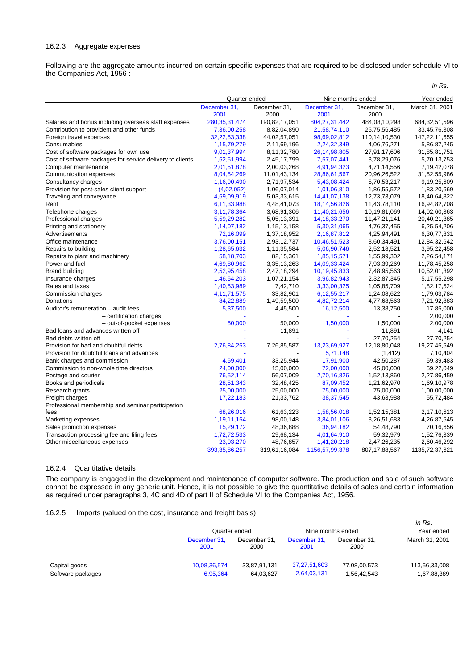## 16.2.3 Aggregate expenses

Following are the aggregate amounts incurred on certain specific expenses that are required to be disclosed under schedule VI to the Companies Act, 1956 :

|                                                           |                      |                      |                      |                      | in Rs.         |
|-----------------------------------------------------------|----------------------|----------------------|----------------------|----------------------|----------------|
|                                                           | Quarter ended        |                      | Nine months ended    |                      | Year ended     |
|                                                           | December 31,<br>2001 | December 31,<br>2000 | December 31,<br>2001 | December 31,<br>2000 | March 31, 2001 |
| Salaries and bonus including overseas staff expenses      | 280, 35, 31, 474     | 190,82,17,051        | 804, 27, 31, 442     | 484,08,10,298        | 684,32,51,596  |
| Contribution to provident and other funds                 | 7,36,00,258          | 8,82,04,890          | 21,58,74,110         | 25,75,56,485         | 33,45,76,308   |
| Foreign travel expenses                                   | 32,22,53,338         | 44,02,57,051         | 98,69,02,812         | 110,14,10,530        | 147,22,11,655  |
| Consumables                                               | 1,15,79,279          | 2,11,69,196          | 2,24,32,349          | 4,06,76,271          | 5,86,87,245    |
| Cost of software packages for own use                     | 9,01,37,994          | 8,11,32,780          | 26, 14, 98, 805      | 27,91,17,606         | 31,85,81,751   |
| Cost of software packages for service delivery to clients | 1,52,51,994          | 2,45,17,799          | 7,57,07,441          | 3,78,29,076          | 5,70,13,753    |
| Computer maintenance                                      | 2,01,51,878          | 2,00,03,268          | 4,91,94,323          | 4,71,14,556          | 7,19,42,078    |
| Communication expenses                                    | 8,04,54,269          | 11,01,43,134         | 28,86,61,567         | 20,96,26,522         | 31,52,55,986   |
| Consultancy charges                                       | 1,16,90,490          | 2,71,97,534          | 5,43,08,424          | 5,70,53,217          | 9,19,25,609    |
| Provision for post-sales client support                   | (4,02,052)           | 1,06,07,014          | 1,01,06,810          | 1,86,55,572          | 1,83,20,669    |
| Traveling and conveyance                                  | 4,59,09,919          | 5,03,33,615          | 14,41,07,138         | 12,73,73,079         | 18,40,64,822   |
| Rent                                                      | 6,11,33,988          | 4,48,41,073          | 18, 14, 56, 826      | 11,43,78,110         | 16,94,82,708   |
| Telephone charges                                         | 3,11,78,364          | 3,68,91,306          | 11,40,21,656         | 10,19,81,069         | 14,02,60,363   |
| Professional charges                                      | 5,59,29,282          | 5,05,13,391          | 14, 18, 33, 270      | 11,47,21,141         | 20,40,21,385   |
| Printing and stationery                                   | 1,14,07,182          | 1, 15, 13, 158       | 5,30,31,065          | 4,76,37,455          | 6,25,54,206    |
| Advertisements                                            | 72,16,099            | 1,37,18,952          | 2,16,87,812          | 4,25,94,491          | 6,30,77,831    |
| Office maintenance                                        | 3,76,00,151          | 2,93,12,737          | 10,46,51,523         | 8,60,34,491          | 12,84,32,642   |
| Repairs to building                                       | 1,28,65,632          | 1,11,35,584          | 5,06,90,746          | 2,52,18,521          | 3,95,22,458    |
| Repairs to plant and machinery                            | 58, 18, 703          | 82, 15, 361          | 1,85,15,571          | 1,55,99,302          | 2,26,54,171    |
| Power and fuel                                            | 4,69,80,962          | 3,35,13,263          | 14,09,33,424         | 7,93,39,269          | 11,78,45,258   |
| <b>Brand building</b>                                     | 2,52,95,458          | 2,47,18,294          | 10,19,45,833         | 7,48,95,563          | 10,52,01,392   |
| Insurance charges                                         | 1,46,54,203          | 1,07,21,154          | 3,96,82,943          | 2,32,87,345          | 5, 17, 55, 298 |
| Rates and taxes                                           | 1,40,53,989          | 7,42,710             | 3,33,00,325          | 1,05,85,709          | 1,82,17,524    |
| Commission charges                                        | 4,11,71,575          | 33,82,901            | 6,12,55,217          | 1,24,08,622          | 1,79,03,784    |
| Donations                                                 | 84,22,889            | 1,49,59,500          | 4,82,72,214          | 4,77,68,563          | 7,21,92,883    |
| Auditor's remuneration - audit fees                       | 5,37,500             | 4,45,500             | 16,12,500            | 13,38,750            | 17,85,000      |
| - certification charges                                   |                      |                      |                      |                      | 2,00,000       |
| - out-of-pocket expenses                                  | 50,000               | 50,000               | 1,50,000             | 1,50,000             | 2,00,000       |
| Bad loans and advances written off                        |                      | 11,891               |                      | 11,891               | 4,141          |
| Bad debts written off                                     |                      |                      |                      | 27,70,254            | 27,70,254      |
| Provision for bad and doubtful debts                      | 2,76,84,253          | 7,26,85,587          | 13,23,69,927         | 12,18,80,048         | 19,27,45,549   |
| Provision for doubtful loans and advances                 |                      |                      | 5,71,148             | (1, 412)             | 7,10,404       |
| Bank charges and commission                               | 4,59,401             | 33,25,944            | 17,91,900            | 42,50,287            | 59,39,483      |
| Commission to non-whole time directors                    | 24,00,000            | 15,00,000            | 72,00,000            | 45,00,000            | 59,22,049      |
| Postage and courier                                       | 76,52,114            | 56,07,009            | 2,70,16,826          | 1,52,13,860          | 2,27,86,459    |
| Books and periodicals                                     | 28,51,343            | 32,48,425            | 87,09,452            | 1,21,62,970          | 1,69,10,978    |
| Research grants                                           | 25,00,000            | 25,00,000            | 75,00,000            | 75,00,000            | 1,00,00,000    |
| Freight charges                                           | 17,22,183            | 21,33,762            | 38, 37, 545          | 43,63,988            | 55,72,484      |
| Professional membership and seminar participation         |                      |                      |                      |                      |                |
| fees                                                      | 68,26,016            | 61,63,223            | 1,58,56,018          | 1,52,15,381          | 2,17,10,613    |
| Marketing expenses                                        | 1,19,11,154          | 98,00,148            | 3,84,01,106          | 3,26,51,683          | 4,26,87,545    |
| Sales promotion expenses                                  | 15,29,172            | 48,36,888            | 36,94,182            | 54,48,790            | 70,16,656      |
| Transaction processing fee and filing fees                | 1,72,72,533          | 29,68,134            | 4,01,64,910          | 59,32,979            | 1,52,76,339    |
| Other miscellaneous expenses                              | 23,03,270            | 48,76,857            | 1,41,20,218          | 2,47,26,235          | 2,60,46,292    |
|                                                           | 393, 35, 86, 257     | 319,61,16,084        | 1156,57,99,378       | 807, 17, 88, 567     | 1135,72,37,621 |
|                                                           |                      |                      |                      |                      |                |

# 16.2.4 Quantitative details

The company is engaged in the development and maintenance of computer software. The production and sale of such software cannot be expressed in any generic unit. Hence, it is not possible to give the quantitative details of sales and certain information as required under paragraphs 3, 4C and 4D of part II of Schedule VI to the Companies Act, 1956.

# 16.2.5 Imports (valued on the cost, insurance and freight basis)

|                   |                      |                      |                      |                      | in Rs.         |
|-------------------|----------------------|----------------------|----------------------|----------------------|----------------|
|                   |                      | Quarter ended        |                      | Nine months ended    |                |
|                   | December 31,<br>2001 | December 31,<br>2000 | December 31,<br>2001 | December 31,<br>2000 | March 31, 2001 |
|                   |                      |                      |                      |                      |                |
| Capital goods     | 10,08,36,574         | 33,87,91,131         | 37,27,51,603         | 77,08,00,573         | 113,56,33,008  |
| Software packages | 6.95.364             | 64.03.627            | 2,64,03,131          | 1,56,42,543          | 1,67,88,389    |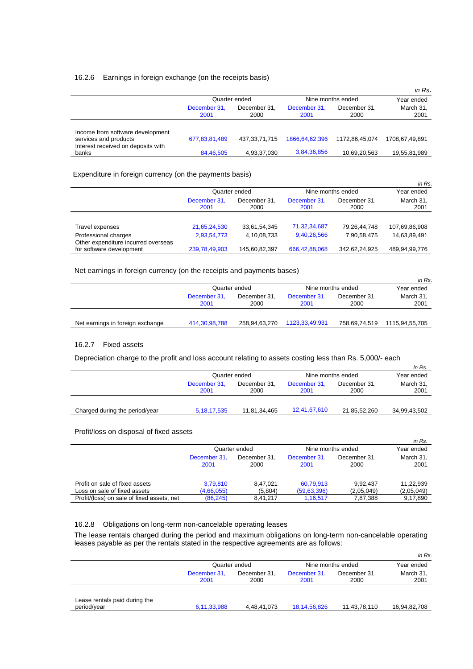# 16.2.6 Earnings in foreign exchange (on the receipts basis)

|                                                           |                      |                      |                      |                      | in Rs.            |
|-----------------------------------------------------------|----------------------|----------------------|----------------------|----------------------|-------------------|
|                                                           | Quarter ended        |                      |                      | Nine months ended    | Year ended        |
|                                                           | December 31,<br>2001 | December 31.<br>2000 | December 31,<br>2001 | December 31,<br>2000 | March 31,<br>2001 |
| Income from software development<br>services and products | 677,83,81,489        | 437, 33, 71, 715     | 1866, 64, 62, 396    | 1172.86.45.074       | 1708.67.49.891    |
| Interest received on deposits with<br>banks               | 84,46,505            | 4,93,37,030          | 3,84,36,856          | 10,69,20,563         | 19,55,81,989      |

# Expenditure in foreign currency (on the payments basis)

|                                                                 |                      |                      |                      |                      | in Rs.            |
|-----------------------------------------------------------------|----------------------|----------------------|----------------------|----------------------|-------------------|
|                                                                 | Quarter ended        |                      | Nine months ended    |                      | Year ended        |
|                                                                 | December 31,<br>2001 | December 31,<br>2000 | December 31,<br>2001 | December 31,<br>2000 | March 31,<br>2001 |
|                                                                 |                      |                      |                      |                      |                   |
| Travel expenses                                                 | 21,65,24,530         | 33,61,54,345         | 71,32,34,687         | 79,26,44,748         | 107,69,86,908     |
| Professional charges                                            | 2,93,54,773          | 4,10,08,733          | 9,40,26,566          | 7,90,58,475          | 14,63,89,491      |
| Other expenditure incurred overseas<br>for software development | 239,78,49,903        | 145,60,82,397        | 666,42,88,068        | 342,62,24,925        | 489,94,99,776     |
|                                                                 |                      |                      |                      |                      |                   |

# Net earnings in foreign currency (on the receipts and payments bases)

|                                  |                      |                      |                      |                      | in Rs.            |
|----------------------------------|----------------------|----------------------|----------------------|----------------------|-------------------|
|                                  | Quarter ended        |                      | Nine months ended    | Year ended           |                   |
|                                  | December 31,<br>2001 | December 31.<br>2000 | December 31,<br>2001 | December 31,<br>2000 | March 31,<br>2001 |
| Net earnings in foreign exchange | 414.30.98.788        | 258,94,63,270        | 1123,33,49,931       | 758.69.74.519        | 1115,94,55,705    |
|                                  |                      |                      |                      |                      |                   |

# 16.2.7 Fixed assets

Depreciation charge to the profit and loss account relating to assets costing less than Rs. 5,000/- each

|                                |                      |                      |                      |                      | in Rs.            |
|--------------------------------|----------------------|----------------------|----------------------|----------------------|-------------------|
|                                | Quarter ended        |                      | Nine months ended    |                      | Year ended        |
|                                | December 31,<br>2001 | December 31.<br>2000 | December 31.<br>2001 | December 31,<br>2000 | March 31,<br>2001 |
| Charged during the period/year | 5, 18, 17, 535       | 11,81,34,465         | 12,41,67,610         | 21,85,52,260         | 34,99,43,502      |

Profit/loss on disposal of fixed assets

|                                            |                      |                      |                      |                      | in Rs.            |
|--------------------------------------------|----------------------|----------------------|----------------------|----------------------|-------------------|
|                                            | Quarter ended        |                      | Nine months ended    |                      | Year ended        |
|                                            | December 31.<br>2001 | December 31.<br>2000 | December 31.<br>2001 | December 31.<br>2000 | March 31,<br>2001 |
|                                            |                      |                      |                      |                      |                   |
| Profit on sale of fixed assets             | 3.79.810             | 8.47.021             | 60,79,913            | 9.92.437             | 11.22.939         |
| Loss on sale of fixed assets               | (4,66,055)           | (5,804)              | (59, 63, 396)        | (2,05,049)           | (2,05,049)        |
| Profit/(loss) on sale of fixed assets, net | (86, 245)            | 8.41.217             | 1,16,517             | 7,87,388             | 9,17,890          |

# 16.2.8 Obligations on long-term non-cancelable operating leases

The lease rentals charged during the period and maximum obligations on long-term non-cancelable operating leases payable as per the rentals stated in the respective agreements are as follows:

|                                              |                      |                      |                      |                      | in Rs             |
|----------------------------------------------|----------------------|----------------------|----------------------|----------------------|-------------------|
|                                              |                      | Quarter ended        | Nine months ended    |                      | Year ended        |
|                                              | December 31,<br>2001 | December 31.<br>2000 | December 31,<br>2001 | December 31,<br>2000 | March 31,<br>2001 |
|                                              |                      |                      |                      |                      |                   |
| Lease rentals paid during the<br>period/year | 6,11,33,988          | 4,48,41,073          | 18, 14, 56, 826      | 11,43,78,110         | 16,94,82,708      |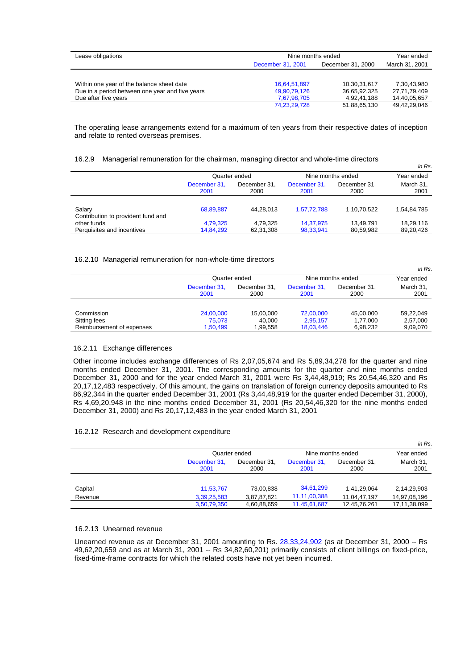| Lease obligations                               |                   | Nine months ended |              |  |
|-------------------------------------------------|-------------------|-------------------|--------------|--|
|                                                 | December 31, 2001 | December 31, 2000 |              |  |
|                                                 |                   |                   |              |  |
| Within one year of the balance sheet date       | 16,64,51,897      | 10,30,31,617      | 7,30,43,980  |  |
| Due in a period between one year and five years | 49,90,79,126      | 36,65,92,325      | 27,71,79,409 |  |
| Due after five years                            | 7,67,98,705       | 4.92.41.188       | 14,40,05,657 |  |
|                                                 | 74,23,29,728      | 51,88,65,130      | 49,42,29,046 |  |

The operating lease arrangements extend for a maximum of ten years from their respective dates of inception and relate to rented overseas premises.

## 16.2.9 Managerial remuneration for the chairman, managing director and whole-time directors

|                                              |                      |                      |                      |                      | in Rs.            |
|----------------------------------------------|----------------------|----------------------|----------------------|----------------------|-------------------|
|                                              | Quarter ended        |                      |                      | Nine months ended    | Year ended        |
|                                              | December 31,<br>2001 | December 31.<br>2000 | December 31.<br>2001 | December 31.<br>2000 | March 31,<br>2001 |
|                                              |                      |                      |                      |                      |                   |
| Salary<br>Contribution to provident fund and | 68,89,887            | 44.28.013            | 1.57.72.788          | 1,10,70,522          | 1,54,84,785       |
| other funds                                  | 4,79,325             | 4.79.325             | 14,37,975            | 13.49.791            | 18.29.116         |
| Perquisites and incentives                   | 14,84,292            | 62,31,308            | 98,33,941            | 80,59,982            | 89,20,426         |

#### 16.2.10 Managerial remuneration for non-whole-time directors

|                           |                      |                      |                      |                      | in Rs.            |  |
|---------------------------|----------------------|----------------------|----------------------|----------------------|-------------------|--|
|                           | Quarter ended        |                      |                      | Nine months ended    |                   |  |
|                           | December 31,<br>2001 | December 31.<br>2000 | December 31,<br>2001 | December 31,<br>2000 | March 31,<br>2001 |  |
|                           |                      |                      |                      |                      |                   |  |
| Commission                | 24,00,000            | 15.00.000            | 72,00,000            | 45,00,000            | 59.22.049         |  |
| Sitting fees              | 75.073               | 40.000               | 2,95,157             | 1,77,000             | 2,57,000          |  |
| Reimbursement of expenses | 1.50.499             | 1,99,558             | 18,03,446            | 6,98,232             | 9,09,070          |  |

# 16.2.11 Exchange differences

Other income includes exchange differences of Rs 2,07,05,674 and Rs 5,89,34,278 for the quarter and nine months ended December 31, 2001. The corresponding amounts for the quarter and nine months ended December 31, 2000 and for the year ended March 31, 2001 were Rs 3,44,48,919; Rs 20,54,46,320 and Rs 20,17,12,483 respectively. Of this amount, the gains on translation of foreign currency deposits amounted to Rs 86,92,344 in the quarter ended December 31, 2001 (Rs 3,44,48,919 for the quarter ended December 31, 2000), Rs 4,69,20,948 in the nine months ended December 31, 2001 (Rs 20,54,46,320 for the nine months ended December 31, 2000) and Rs 20,17,12,483 in the year ended March 31, 2001

# 16.2.12 Research and development expenditure

|         |                      |                      |                      |                      | in Rs.            |  |
|---------|----------------------|----------------------|----------------------|----------------------|-------------------|--|
|         |                      | Quarter ended        |                      | Nine months ended    |                   |  |
|         | December 31,<br>2001 | December 31.<br>2000 | December 31,<br>2001 | December 31,<br>2000 | March 31,<br>2001 |  |
| Capital | 11,53,767            | 73,00,838            | 34,61,299            | 1,41,29,064          | 2,14,29,903       |  |
| Revenue | 3,39,25,583          | 3,87,87,821          | 11,11,00,388         | 11,04,47,197         | 14,97,08,196      |  |
|         | 3,50,79,350          | 4,60,88,659          | 11,45,61,687         | 12,45,76,261         | 17,11,38,099      |  |

## 16.2.13 Unearned revenue

Unearned revenue as at December 31, 2001 amounting to Rs. 28,33,24,902 (as at December 31, 2000 -- Rs 49,62,20,659 and as at March 31, 2001 -- Rs 34,82,60,201) primarily consists of client billings on fixed-price, fixed-time-frame contracts for which the related costs have not yet been incurred.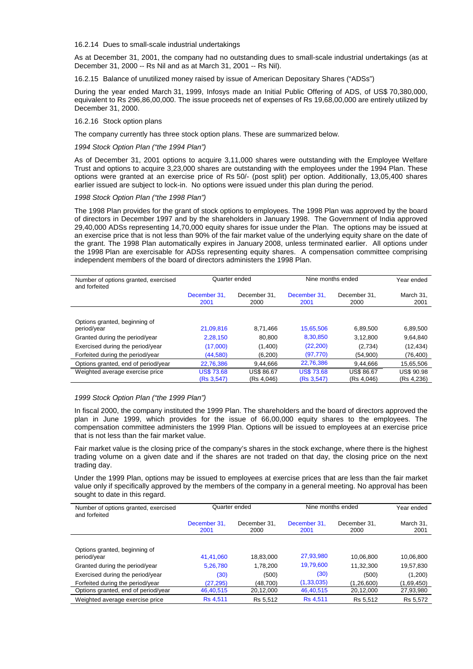16.2.14 Dues to small-scale industrial undertakings

As at December 31, 2001, the company had no outstanding dues to small-scale industrial undertakings (as at December 31, 2000 -- Rs Nil and as at March 31, 2001 -- Rs Nil).

16.2.15 Balance of unutilized money raised by issue of American Depositary Shares ("ADSs")

During the year ended March 31, 1999, Infosys made an Initial Public Offering of ADS, of US\$ 70,380,000, equivalent to Rs 296,86,00,000. The issue proceeds net of expenses of Rs 19,68,00,000 are entirely utilized by December 31, 2000.

#### 16.2.16 Stock option plans

The company currently has three stock option plans. These are summarized below.

## *1994 Stock Option Plan ("the 1994 Plan")*

As of December 31, 2001 options to acquire 3,11,000 shares were outstanding with the Employee Welfare Trust and options to acquire 3,23,000 shares are outstanding with the employees under the 1994 Plan. These options were granted at an exercise price of Rs 50/- (post split) per option. Additionally, 13,05,400 shares earlier issued are subject to lock-in. No options were issued under this plan during the period.

### *1998 Stock Option Plan ("the 1998 Plan")*

The 1998 Plan provides for the grant of stock options to employees. The 1998 Plan was approved by the board of directors in December 1997 and by the shareholders in January 1998. The Government of India approved 29,40,000 ADSs representing 14,70,000 equity shares for issue under the Plan. The options may be issued at an exercise price that is not less than 90% of the fair market value of the underlying equity share on the date of the grant. The 1998 Plan automatically expires in January 2008, unless terminated earlier. All options under the 1998 Plan are exercisable for ADSs representing equity shares. A compensation committee comprising independent members of the board of directors administers the 1998 Plan.

| Number of options granted, exercised<br>and forfeited | Quarter ended        |                      | Nine months ended    | Year ended           |                   |
|-------------------------------------------------------|----------------------|----------------------|----------------------|----------------------|-------------------|
|                                                       | December 31.<br>2001 | December 31.<br>2000 | December 31.<br>2001 | December 31.<br>2000 | March 31,<br>2001 |
|                                                       |                      |                      |                      |                      |                   |
| Options granted, beginning of                         |                      |                      |                      |                      |                   |
| period/year                                           | 21.09.816            | 8.71.466             | 15,65,506            | 6.89.500             | 6,89,500          |
| Granted during the period/year                        | 2.28.150             | 80.800               | 8,30,850             | 3.12.800             | 9,64,840          |
| Exercised during the period/year                      | (17,000)             | (1,400)              | (22, 200)            | (2,734)              | (12, 434)         |
| Forfeited during the period/year                      | (44, 580)            | (6, 200)             | (97, 770)            | (54,900)             | (76,400)          |
| Options granted, end of period/year                   | 22.76.386            | 9.44.666             | 22,76,386            | 9.44.666             | 15.65.506         |
| Weighted average exercise price                       | <b>US\$ 73.68</b>    | <b>US\$ 86.67</b>    | <b>US\$73.68</b>     | <b>US\$ 86.67</b>    | <b>US\$ 90.98</b> |
|                                                       | (Rs 3,547)           | (Rs 4,046)           | (Rs 3,547)           | (Rs 4,046)           | (Rs 4,236)        |

#### *1999 Stock Option Plan ("the 1999 Plan")*

In fiscal 2000, the company instituted the 1999 Plan. The shareholders and the board of directors approved the plan in June 1999, which provides for the issue of 66,00,000 equity shares to the employees. The compensation committee administers the 1999 Plan. Options will be issued to employees at an exercise price that is not less than the fair market value.

Fair market value is the closing price of the company's shares in the stock exchange, where there is the highest trading volume on a given date and if the shares are not traded on that day, the closing price on the next trading day.

Under the 1999 Plan, options may be issued to employees at exercise prices that are less than the fair market value only if specifically approved by the members of the company in a general meeting. No approval has been sought to date in this regard.

| Number of options granted, exercised<br>and forfeited | Quarter ended        |                      | Nine months ended    | Year ended           |                   |
|-------------------------------------------------------|----------------------|----------------------|----------------------|----------------------|-------------------|
|                                                       | December 31.<br>2001 | December 31.<br>2000 | December 31.<br>2001 | December 31.<br>2000 | March 31.<br>2001 |
|                                                       |                      |                      |                      |                      |                   |
| Options granted, beginning of<br>period/year          | 41.41.060            | 18.83.000            | 27,93,980            | 10.06.800            | 10.06.800         |
| Granted during the period/year                        | 5.26.780             | 1,78,200             | 19,79,600            | 11,32,300            | 19,57,830         |
| Exercised during the period/year                      | (30)                 | (500)                | (30)                 | (500)                | (1,200)           |
| Forfeited during the period/year                      | (27, 295)            | (48.700)             | (1, 33, 035)         | (1,26,600)           | (1,69,450)        |
| Options granted, end of period/year                   | 46.40.515            | 20,12,000            | 46,40,515            | 20,12,000            | 27,93,980         |
| Weighted average exercise price                       | <b>Rs 4.511</b>      | Rs 5.512             | <b>Rs 4,511</b>      | Rs 5.512             | Rs 5,572          |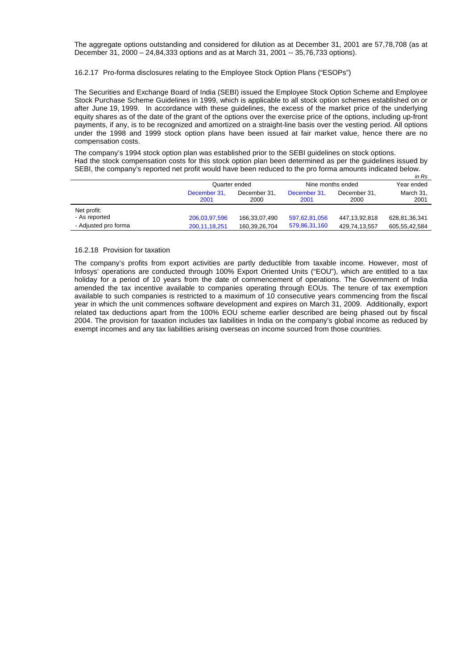The aggregate options outstanding and considered for dilution as at December 31, 2001 are 57,78,708 (as at December 31, 2000 – 24,84,333 options and as at March 31, 2001 -- 35,76,733 options).

## 16.2.17 Pro-forma disclosures relating to the Employee Stock Option Plans ("ESOPs")

The Securities and Exchange Board of India (SEBI) issued the Employee Stock Option Scheme and Employee Stock Purchase Scheme Guidelines in 1999, which is applicable to all stock option schemes established on or after June 19, 1999. In accordance with these guidelines, the excess of the market price of the underlying equity shares as of the date of the grant of the options over the exercise price of the options, including up-front payments, if any, is to be recognized and amortized on a straight-line basis over the vesting period. All options under the 1998 and 1999 stock option plans have been issued at fair market value, hence there are no compensation costs.

The company's 1994 stock option plan was established prior to the SEBI guidelines on stock options. Had the stock compensation costs for this stock option plan been determined as per the guidelines issued by

| SEBI, the company's reported net profit would have been reduced to the pro forma amounts indicated below. |                      |                      |                      |                      |                   |  |  |  |
|-----------------------------------------------------------------------------------------------------------|----------------------|----------------------|----------------------|----------------------|-------------------|--|--|--|
|                                                                                                           |                      |                      |                      |                      | in Rs             |  |  |  |
|                                                                                                           | Quarter ended        |                      | Nine months ended    |                      | Year ended        |  |  |  |
|                                                                                                           | December 31.<br>2001 | December 31.<br>2000 | December 31.<br>2001 | December 31.<br>2000 | March 31,<br>2001 |  |  |  |
| Net profit:<br>- As reported                                                                              | 206,03,97,596        | 166,33,07,490        | 597,62,81,056        | 447,13,92,818        | 628,81,36,341     |  |  |  |
| - Adjusted pro forma                                                                                      | 200, 11, 18, 251     | 160,39,26,704        | 579,86,31,160        | 429,74,13,557        | 605,55,42,584     |  |  |  |

### 16.2.18 Provision for taxation

The company's profits from export activities are partly deductible from taxable income. However, most of Infosys' operations are conducted through 100% Export Oriented Units ("EOU"), which are entitled to a tax holiday for a period of 10 years from the date of commencement of operations. The Government of India amended the tax incentive available to companies operating through EOUs. The tenure of tax exemption available to such companies is restricted to a maximum of 10 consecutive years commencing from the fiscal year in which the unit commences software development and expires on March 31, 2009. Additionally, export related tax deductions apart from the 100% EOU scheme earlier described are being phased out by fiscal 2004. The provision for taxation includes tax liabilities in India on the company's global income as reduced by exempt incomes and any tax liabilities arising overseas on income sourced from those countries.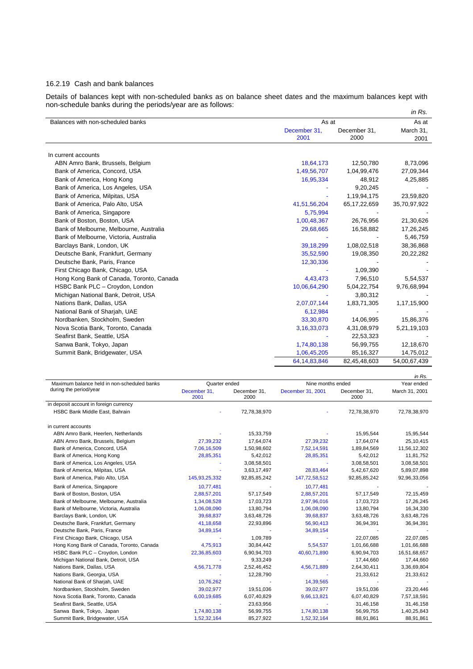# 16.2.19 Cash and bank balances

Details of balances kept with non-scheduled banks as on balance sheet dates and the maximum balances kept with non-schedule banks during the periods/year are as follows:

|                                           |                      | in Rs.               |                   |
|-------------------------------------------|----------------------|----------------------|-------------------|
| Balances with non-scheduled banks         | As at                |                      | As at             |
|                                           | December 31,<br>2001 | December 31,<br>2000 | March 31,<br>2001 |
| In current accounts                       |                      |                      |                   |
| ABN Amro Bank, Brussels, Belgium          | 18,64,173            | 12,50,780            | 8,73,096          |
| Bank of America, Concord, USA             | 1,49,56,707          | 1,04,99,476          | 27,09,344         |
| Bank of America, Hong Kong                | 16,95,334            | 48,912               | 4,25,885          |
| Bank of America, Los Angeles, USA         |                      | 9,20,245             |                   |
| Bank of America, Milpitas, USA            |                      | 1, 19, 94, 175       | 23,59,820         |
| Bank of America, Palo Alto, USA           | 41,51,56,204         | 65, 17, 22, 659      | 35,70,97,922      |
| Bank of America, Singapore                | 5,75,994             |                      |                   |
| Bank of Boston, Boston, USA               | 1,00,48,367          | 26,76,956            | 21,30,626         |
| Bank of Melbourne, Melbourne, Australia   | 29,68,665            | 16,58,882            | 17,26,245         |
| Bank of Melbourne, Victoria, Australia    |                      |                      | 5,46,759          |
| Barclays Bank, London, UK                 | 39,18,299            | 1,08,02,518          | 38,36,868         |
| Deutsche Bank, Frankfurt, Germany         | 35,52,590            | 19,08,350            | 20,22,282         |
| Deutsche Bank, Paris, France              | 12,30,336            |                      |                   |
| First Chicago Bank, Chicago, USA          |                      | 1,09,390             |                   |
| Hong Kong Bank of Canada, Toronto, Canada | 4,43,473             | 7,96,510             | 5,54,537          |
| HSBC Bank PLC - Croydon, London           | 10,06,64,290         | 5,04,22,754          | 9,76,68,994       |
| Michigan National Bank, Detroit, USA      |                      | 3,80,312             |                   |
| Nations Bank, Dallas, USA                 | 2,07,07,144          | 1,83,71,305          | 1,17,15,900       |
| National Bank of Sharjah, UAE             | 6,12,984             |                      |                   |
| Nordbanken, Stockholm, Sweden             | 33,30,870            | 14,06,995            | 15,86,376         |
| Nova Scotia Bank, Toronto, Canada         | 3, 16, 33, 073       | 4,31,08,979          | 5,21,19,103       |
| Seafirst Bank, Seattle, USA               |                      | 22,53,323            |                   |
| Sanwa Bank, Tokyo, Japan                  | 1,74,80,138          | 56,99,755            | 12,18,670         |
| Summit Bank, Bridgewater, USA             | 1,06,45,205          | 85,16,327            | 14,75,012         |
|                                           | 64, 14, 83, 846      | 82,45,48,603         | 54,00,67,439      |

|                                                                       |                                       |                      |                                        |                      | in Rs.                       |
|-----------------------------------------------------------------------|---------------------------------------|----------------------|----------------------------------------|----------------------|------------------------------|
| Maximum balance held in non-scheduled banks<br>during the period/year | Quarter ended<br>December 31,<br>2001 | December 31,<br>2000 | Nine months ended<br>December 31, 2001 | December 31,<br>2000 | Year ended<br>March 31, 2001 |
| in deposit account in foreign currency                                |                                       |                      |                                        |                      |                              |
| HSBC Bank Middle East, Bahrain                                        |                                       | 72,78,38,970         |                                        | 72,78,38,970         | 72,78,38,970                 |
| in current accounts                                                   |                                       |                      |                                        |                      |                              |
| ABN Amro Bank, Heerlen, Netherlands                                   |                                       | 15,33,759            |                                        | 15,95,544            | 15,95,544                    |
| ABN Amro Bank, Brussels, Belgium                                      | 27,39,232                             | 17,64,074            | 27,39,232                              | 17,64,074            | 25,10,415                    |
| Bank of America, Concord, USA                                         | 7,06,16,509                           | 1,50,98,602          | 7,52,14,591                            | 1,89,84,569          | 11,56,12,302                 |
| Bank of America, Hong Kong                                            | 28,85,351                             | 5,42,012             | 28,85,351                              | 5,42,012             | 11,81,752                    |
| Bank of America, Los Angeles, USA                                     |                                       | 3,08,58,501          |                                        | 3,08,58,501          | 3,08,58,501                  |
| Bank of America, Milpitas, USA                                        |                                       | 3,63,17,497          | 28,83,464                              | 5,42,67,620          | 5,89,07,898                  |
| Bank of America, Palo Alto, USA                                       | 145,93,25,332                         | 92,85,85,242         | 147,72,58,512                          | 92,85,85,242         | 92,96,33,056                 |
| Bank of America, Singapore                                            | 10,77,481                             |                      | 10,77,481                              |                      |                              |
| Bank of Boston, Boston, USA                                           | 2,88,57,201                           | 57,17,549            | 2,88,57,201                            | 57,17,549            | 72,15,459                    |
| Bank of Melbourne, Melbourne, Australia                               | 1,34,08,528                           | 17,03,723            | 2,97,96,016                            | 17,03,723            | 17,26,245                    |
| Bank of Melbourne, Victoria, Australia                                | 1,06,08,090                           | 13,80,794            | 1,06,08,090                            | 13,80,794            | 16,34,330                    |
| Barclays Bank, London, UK                                             | 39,68,837                             | 3,63,48,726          | 39,68,837                              | 3,63,48,726          | 3,63,48,726                  |
| Deutsche Bank, Frankfurt, Germany                                     | 41,18,658                             | 22,93,896            | 56,90,413                              | 36,94,391            | 36,94,391                    |
| Deutsche Bank, Paris, France                                          | 34,89,154                             |                      | 34,89,154                              |                      |                              |
| First Chicago Bank, Chicago, USA                                      |                                       | 1,09,789             |                                        | 22,07,085            | 22,07,085                    |
| Hong Kong Bank of Canada, Toronto, Canada                             | 4,75,913                              | 30,84,442            | 5,54,537                               | 1,01,66,688          | 1,01,66,688                  |
| HSBC Bank PLC - Croydon, London                                       | 22,36,85,603                          | 6,90,94,703          | 40,60,71,890                           | 6,90,94,703          | 16,51,68,657                 |
| Michigan National Bank, Detroit, USA                                  |                                       | 9,33,249             |                                        | 17,44,660            | 17,44,660                    |
| Nations Bank, Dallas, USA                                             | 4,56,71,778                           | 2,52,46,452          | 4,56,71,889                            | 2,64,30,411          | 3,36,69,804                  |
| Nations Bank, Georgia, USA                                            |                                       | 12,28,790            |                                        | 21,33,612            | 21,33,612                    |
| National Bank of Sharjah, UAE                                         | 10,76,262                             |                      | 14,39,565                              |                      |                              |
| Nordbanken, Stockholm, Sweden                                         | 39,02,977                             | 19,51,036            | 39,02,977                              | 19,51,036            | 23,20,446                    |
| Nova Scotia Bank, Toronto, Canada                                     | 6,00,19,685                           | 6,07,40,829          | 9,66,13,821                            | 6,07,40,829          | 7,57,18,591                  |
| Seafirst Bank, Seattle, USA                                           |                                       | 23,63,956            |                                        | 31,46,158            | 31,46,158                    |
| Sanwa Bank, Tokyo, Japan                                              | 1,74,80,138                           | 56,99,755            | 1,74,80,138                            | 56,99,755            | 1,40,25,843                  |
| Summit Bank, Bridgewater, USA                                         | 1,52,32,164                           | 85,27,922            | 1,52,32,164                            | 88,91,861            | 88,91,861                    |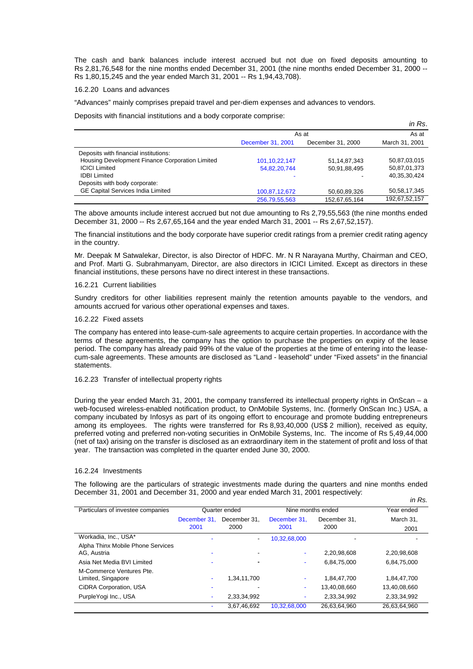The cash and bank balances include interest accrued but not due on fixed deposits amounting to Rs 2,81,76,548 for the nine months ended December 31, 2001 (the nine months ended December 31, 2000 -- Rs 1,80,15,245 and the year ended March 31, 2001 -- Rs 1,94,43,708).

## 16.2.20 Loans and advances

"Advances" mainly comprises prepaid travel and per-diem expenses and advances to vendors.

Deposits with financial institutions and a body corporate comprise:

|                                                 |                   |                   | in Rs.          |
|-------------------------------------------------|-------------------|-------------------|-----------------|
|                                                 | As at             | As at             |                 |
|                                                 | December 31, 2001 | December 31, 2000 | March 31, 2001  |
| Deposits with financial institutions:           |                   |                   |                 |
| Housing Development Finance Corporation Limited | 101, 10, 22, 147  | 51, 14, 87, 343   | 50,87,03,015    |
| <b>ICICI Limited</b>                            | 54,82,20,744      | 50,91,88,495      | 50,87,01,373    |
| <b>IDBI Limited</b>                             |                   |                   | 40, 35, 30, 424 |
| Deposits with body corporate:                   |                   |                   |                 |
| <b>GE Capital Services India Limited</b>        | 100,87,12,672     | 50,60,89,326      | 50, 58, 17, 345 |
|                                                 | 256,79,55,563     | 152,67,65,164     | 192,67,52,157   |

The above amounts include interest accrued but not due amounting to Rs 2,79,55,563 (the nine months ended December 31, 2000 -- Rs 2,67,65,164 and the year ended March 31, 2001 -- Rs 2,67,52,157).

The financial institutions and the body corporate have superior credit ratings from a premier credit rating agency in the country.

Mr. Deepak M Satwalekar, Director, is also Director of HDFC. Mr. N R Narayana Murthy, Chairman and CEO, and Prof. Marti G. Subrahmanyam, Director, are also directors in ICICI Limited. Except as directors in these financial institutions, these persons have no direct interest in these transactions.

#### 16.2.21 Current liabilities

Sundry creditors for other liabilities represent mainly the retention amounts payable to the vendors, and amounts accrued for various other operational expenses and taxes.

#### 16.2.22 Fixed assets

The company has entered into lease-cum-sale agreements to acquire certain properties. In accordance with the terms of these agreements, the company has the option to purchase the properties on expiry of the lease period. The company has already paid 99% of the value of the properties at the time of entering into the leasecum-sale agreements. These amounts are disclosed as "Land - leasehold" under "Fixed assets" in the financial statements.

## 16.2.23 Transfer of intellectual property rights

During the year ended March 31, 2001, the company transferred its intellectual property rights in OnScan – a web-focused wireless-enabled notification product, to OnMobile Systems, Inc. (formerly OnScan Inc.) USA, a company incubated by Infosys as part of its ongoing effort to encourage and promote budding entrepreneurs among its employees. The rights were transferred for Rs 8,93,40,000 (US\$ 2 million), received as equity, preferred voting and preferred non-voting securities in OnMobile Systems, Inc. The income of Rs 5,49,44,000 (net of tax) arising on the transfer is disclosed as an extraordinary item in the statement of profit and loss of that year. The transaction was completed in the quarter ended June 30, 2000.

#### 16.2.24 Investments

The following are the particulars of strategic investments made during the quarters and nine months ended December 31, 2001 and December 31, 2000 and year ended March 31, 2001 respectively: *in Rs.*

|                                   |              |               |              |                   | ,,,,,        |
|-----------------------------------|--------------|---------------|--------------|-------------------|--------------|
| Particulars of investee companies |              | Quarter ended |              | Nine months ended | Year ended   |
|                                   | December 31. | December 31.  | December 31. | December 31.      | March 31.    |
|                                   | 2001         | 2000          | 2001         | 2000              | 2001         |
| Workadia, Inc., USA*              |              | ٠             | 10,32,68,000 |                   |              |
| Alpha Thinx Mobile Phone Services |              |               |              |                   |              |
| AG. Austria                       |              |               | ۰            | 2,20,98,608       | 2,20,98,608  |
| Asia Net Media BVI Limited        |              |               | ۰            | 6,84,75,000       | 6,84,75,000  |
| M-Commerce Ventures Pte.          |              |               |              |                   |              |
| Limited, Singapore                |              | 1,34,11,700   | ۰            | 1,84,47,700       | 1,84,47,700  |
| CiDRA Corporation, USA            |              |               | ۰            | 13,40,08,660      | 13,40,08,660 |
| PurpleYogi Inc., USA              |              | 2,33,34,992   | ۰            | 2,33,34,992       | 2,33,34,992  |
|                                   |              | 3,67,46,692   | 10.32.68.000 | 26,63,64,960      | 26,63,64,960 |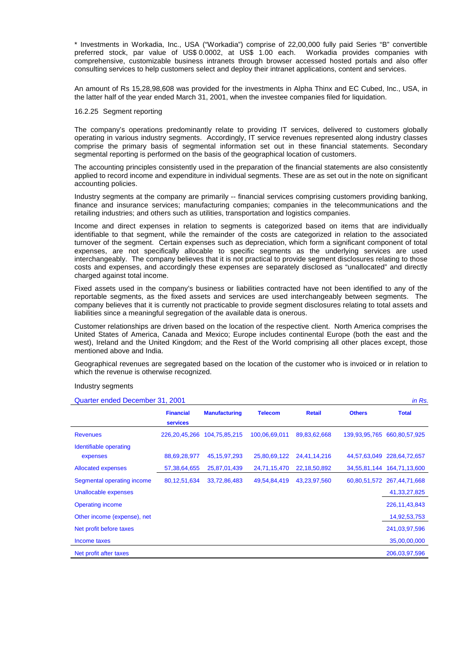\* Investments in Workadia, Inc., USA ("Workadia") comprise of 22,00,000 fully paid Series "B" convertible preferred stock, par value of US\$ 0.0002, at US\$ 1.00 each. Workadia provides companies with comprehensive, customizable business intranets through browser accessed hosted portals and also offer consulting services to help customers select and deploy their intranet applications, content and services.

An amount of Rs 15,28,98,608 was provided for the investments in Alpha Thinx and EC Cubed, Inc., USA, in the latter half of the year ended March 31, 2001, when the investee companies filed for liquidation.

## 16.2.25 Segment reporting

The company's operations predominantly relate to providing IT services, delivered to customers globally operating in various industry segments. Accordingly, IT service revenues represented along industry classes comprise the primary basis of segmental information set out in these financial statements. Secondary segmental reporting is performed on the basis of the geographical location of customers.

The accounting principles consistently used in the preparation of the financial statements are also consistently applied to record income and expenditure in individual segments. These are as set out in the note on significant accounting policies.

Industry segments at the company are primarily -- financial services comprising customers providing banking, finance and insurance services; manufacturing companies; companies in the telecommunications and the retailing industries; and others such as utilities, transportation and logistics companies.

Income and direct expenses in relation to segments is categorized based on items that are individually identifiable to that segment, while the remainder of the costs are categorized in relation to the associated turnover of the segment. Certain expenses such as depreciation, which form a significant component of total expenses, are not specifically allocable to specific segments as the underlying services are used interchangeably. The company believes that it is not practical to provide segment disclosures relating to those costs and expenses, and accordingly these expenses are separately disclosed as "unallocated" and directly charged against total income.

Fixed assets used in the company's business or liabilities contracted have not been identified to any of the reportable segments, as the fixed assets and services are used interchangeably between segments. The company believes that it is currently not practicable to provide segment disclosures relating to total assets and liabilities since a meaningful segregation of the available data is onerous.

Customer relationships are driven based on the location of the respective client. North America comprises the United States of America, Canada and Mexico; Europe includes continental Europe (both the east and the west), Ireland and the United Kingdom; and the Rest of the World comprising all other places except, those mentioned above and India.

Geographical revenues are segregated based on the location of the customer who is invoiced or in relation to which the revenue is otherwise recognized.

### Industry segments

Quarter ended December 31, 2001 *in Rs.*

|                                    | <b>Financial</b><br><b>services</b> | <b>Manufacturing</b> | <b>Telecom</b> | <b>Retail</b> | <b>Others</b> | <b>Total</b>               |
|------------------------------------|-------------------------------------|----------------------|----------------|---------------|---------------|----------------------------|
| <b>Revenues</b>                    | 226, 20, 45, 266                    | 104,75,85,215        | 100,06,69,011  | 89,83,62,668  | 139,93,95,765 | 660,80,57,925              |
| Identifiable operating<br>expenses | 88,69,28,977                        | 45, 15, 97, 293      | 25,80,69,122   | 24,41,14,216  |               | 44,57,63,049 228,64,72,657 |
| <b>Allocated expenses</b>          | 57,38,64,655                        | 25,87,01,439         | 24,71,15,470   | 22,18,50,892  | 34,55,81,144  | 164,71,13,600              |
| Segmental operating income         | 80,12,51,634                        | 33,72,86,483         | 49,54,84,419   | 43,23,97,560  |               | 60,80,51,572 267,44,71,668 |
| Unallocable expenses               |                                     |                      |                |               |               | 41, 33, 27, 825            |
| <b>Operating income</b>            |                                     |                      |                |               |               | 226, 11, 43, 843           |
| Other income (expense), net        |                                     |                      |                |               |               | 14,92,53,753               |
| Net profit before taxes            |                                     |                      |                |               |               | 241,03,97,596              |
| Income taxes                       |                                     |                      |                |               |               | 35,00,00,000               |
| Net profit after taxes             |                                     |                      |                |               |               | 206,03,97,596              |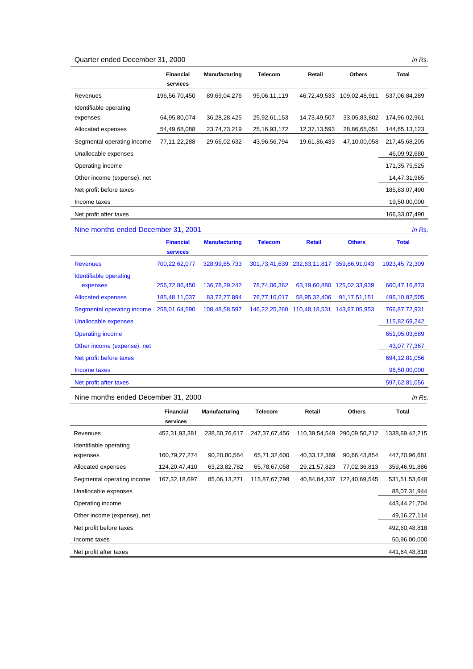#### Quarter ended December 31, 2000 *in Rs.*

|                             | <b>Financial</b><br>services | <b>Manufacturing</b> | <b>Telecom</b>  | Retail       | <b>Others</b> | Total         |
|-----------------------------|------------------------------|----------------------|-----------------|--------------|---------------|---------------|
| Revenues                    | 196,56,70,450                | 89,69,04,276         | 95,06,11,119    | 46,72,49,533 | 109,02,48,911 | 537,06,84,289 |
| Identifiable operating      |                              |                      |                 |              |               |               |
| expenses                    | 64,95,80,074                 | 36,28,28,425         | 25,92,61,153    | 14,73,49,507 | 33,05,83,802  | 174,96,02,961 |
| Allocated expenses          | 54,49,68,088                 | 23,74,73,219         | 25, 16, 93, 172 | 12,37,13,593 | 28,86,65,051  | 144,65,13,123 |
| Segmental operating income  | 77,11,22,288                 | 29,66,02,632         | 43,96,56,794    | 19,61,86,433 | 47,10,00,058  | 217,45,68,205 |
| Unallocable expenses        |                              |                      |                 |              |               | 46,09,92,680  |
| Operating income            |                              |                      |                 |              |               | 171,35,75,525 |
| Other income (expense), net |                              |                      |                 |              |               | 14,47,31,965  |
| Net profit before taxes     |                              |                      |                 |              |               | 185,83,07,490 |
| Income taxes                |                              |                      |                 |              |               | 19,50,00,000  |
| Net profit after taxes      |                              |                      |                 |              |               | 166,33,07,490 |

Nine months ended December 31, 2001 *in Rs.* **Financial services Manufacturing Telecom Retail Others Total**  Revenues 700,22,62,077 328,99,65,733 301,73,41,639 232,63,11,817 359,86,91,043 1923,45,72,309 Identifiable operating expenses 256,72,86,450 136,78,29,242 78,74,06,362 63,19,60,880 125,02,33,939 660,47,16,873 Allocated expenses 185,48,11,037 83,72,77,894 76,77,10,017 58,95,32,406 91,17,51,151 496,10,82,505 Segmental operating income 258,01,64,590 108,48,58,597 146,22,25,260 110,48,18,531 143,67,05,953 766,87,72,931 Unallocable expenses 115,82,69,242 Operating income 651,05,03,689 Other income (expense), net 43,07,77,367 Net profit before taxes 694,12,81,056 Income taxes 96,50,00,000 Net profit after taxes 597,62,81,056

Nine months ended December 31, 2000 *in Rs.*  **Financial services Manufacturing Telecom Retail Others Total**  Revenues 452,31,93,381 238,50,76,617 247,37,67,456 110,39,54,549 290,09,50,212 1338,69,42,215 Identifiable operating expenses 160,79,27,274 90,20,80,564 65,71,32,600 40,33,12,389 90,66,43,854 447,70,96,681 Allocated expenses 124,20,47,410 63,23,82,782 65,78,67,058 29,21,57,823 77,02,36,813 359,46,91,886 Segmental operating income 167,32,18,697 85,06,13,271 115,87,67,798 40,84,84,337 122,40,69,545 531,51,53,648 Unallocable expenses 88,07,31,944 Operating income 443,44,21,704 Other income (expense), net 49,16,27,114 Net profit before taxes 492,60,48,818 Income taxes 50,96,00,000 Net profit after taxes 441,64,48,818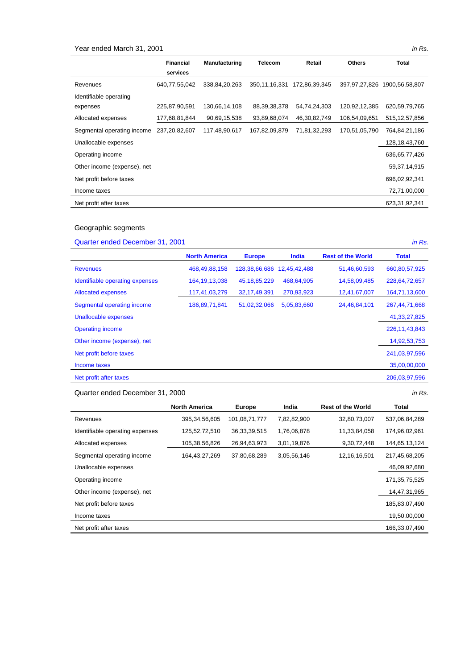# Year ended March 31, 2001 *in Rs.*

|                             | <b>Financial</b><br>services | <b>Manufacturing</b> | <b>Telecom</b>   | Retail        | <b>Others</b> | Total            |
|-----------------------------|------------------------------|----------------------|------------------|---------------|---------------|------------------|
| Revenues                    | 640,77,55,042                | 338,84,20,263        | 350, 11, 16, 331 | 172,86,39,345 | 397,97,27,826 | 1900,56,58,807   |
| Identifiable operating      |                              |                      |                  |               |               |                  |
| expenses                    | 225,87,90,591                | 130,66,14,108        | 88, 39, 38, 378  | 54,74,24,303  | 120,92,12,385 | 620,59,79,765    |
| Allocated expenses          | 177,68,81,844                | 90,69,15,538         | 93,89,68,074     | 46,30,82,749  | 106,54,09,651 | 515, 12, 57, 856 |
| Segmental operating income  | 237,20,82,607                | 117,48,90,617        | 167,82,09,879    | 71,81,32,293  | 170,51,05,790 | 764,84,21,186    |
| Unallocable expenses        |                              |                      |                  |               |               | 128, 18, 43, 760 |
| Operating income            |                              |                      |                  |               |               | 636, 65, 77, 426 |
| Other income (expense), net |                              |                      |                  |               |               | 59,37,14,915     |
| Net profit before taxes     |                              |                      |                  |               |               | 696,02,92,341    |
| Income taxes                |                              |                      |                  |               |               | 72,71,00,000     |
| Net profit after taxes      |                              |                      |                  |               |               | 623, 31, 92, 341 |

# Geographic segments

# Quarter ended December 31, 2001 *in Rs.*

 **North America Europe India Rest of the World Total**  Revenues 468,49,88,158 128,38,66,686 12,45,42,488 51,46,60,593 660,80,57,925 Identifiable operating expenses 164,19,13,038 45,18,85,229 468,64,905 14,58,09,485 228,64,72,657 Allocated expenses 117,41,03,279 32,17,49,391 270,93,923 12,41,67,007 164,71,13,600 Segmental operating income 186,89,71,841 51,02,32,066 5,05,83,660 24,46,84,101 267,44,71,668 Unallocable expenses 41,33,27,825 Operating income 226,11,43,843 Other income (expense), net 14,92,53,753 Net profit before taxes 241,03,97,596 Income taxes 35,00,00,000 Net profit after taxes 206,03,97,596

#### Quarter ended December 31, 2000 *in Rs.*

|                                 | <b>North America</b> | <b>Europe</b>   | India       | <b>Rest of the World</b> | <b>Total</b>  |
|---------------------------------|----------------------|-----------------|-------------|--------------------------|---------------|
| Revenues                        | 395, 34, 56, 605     | 101,08,71,777   | 7,82,82,900 | 32,80,73,007             | 537,06,84,289 |
| Identifiable operating expenses | 125,52,72,510        | 36, 33, 39, 515 | 1,76,06,878 | 11,33,84,058             | 174,96,02,961 |
| Allocated expenses              | 105,38,56,826        | 26,94,63,973    | 3,01,19,876 | 9,30,72,448              | 144,65,13,124 |
| Segmental operating income      | 164,43,27,269        | 37,80,68,289    | 3,05,56,146 | 12, 16, 16, 501          | 217,45,68,205 |
| Unallocable expenses            |                      |                 |             |                          | 46,09,92,680  |
| Operating income                |                      |                 |             |                          | 171,35,75,525 |
| Other income (expense), net     |                      |                 |             |                          | 14,47,31,965  |
| Net profit before taxes         |                      |                 |             |                          | 185,83,07,490 |
| Income taxes                    |                      |                 |             |                          | 19,50,00,000  |
| Net profit after taxes          |                      |                 |             |                          | 166.33.07.490 |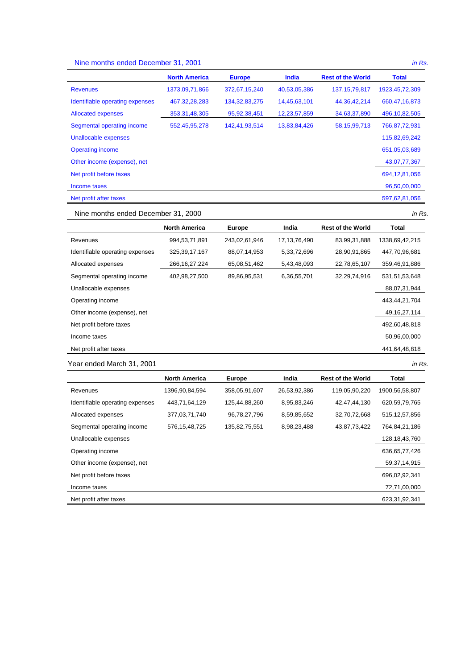# Nine months ended December 31, 2001 *in Rs.*

|                                 | <b>North America</b> | <b>Europe</b>    | <b>India</b> | <b>Rest of the World</b> | <b>Total</b>      |
|---------------------------------|----------------------|------------------|--------------|--------------------------|-------------------|
| <b>Revenues</b>                 | 1373,09,71,866       | 372,67,15,240    | 40,53,05,386 | 137, 15, 79, 817         | 1923, 45, 72, 309 |
| Identifiable operating expenses | 467, 32, 28, 283     | 134, 32, 83, 275 | 14,45,63,101 | 44, 36, 42, 214          | 660,47,16,873     |
| <b>Allocated expenses</b>       | 353, 31, 48, 305     | 95, 92, 38, 451  | 12,23,57,859 | 34,63,37,890             | 496,10,82,505     |
| Segmental operating income      | 552,45,95,278        | 142,41,93,514    | 13,83,84,426 | 58, 15, 99, 713          | 766,87,72,931     |
| Unallocable expenses            |                      |                  |              |                          | 115,82,69,242     |
| <b>Operating income</b>         |                      |                  |              |                          | 651,05,03,689     |
| Other income (expense), net     |                      |                  |              |                          | 43,07,77,367      |
| Net profit before taxes         |                      |                  |              |                          | 694, 12, 81, 056  |
| Income taxes                    |                      |                  |              |                          | 96,50,00,000      |
| Net profit after taxes          |                      |                  |              |                          | 597,62,81,056     |

Nine months ended December 31, 2000 *in Rs.*

|                                 | <b>North America</b> | <b>Europe</b> | India           | <b>Rest of the World</b> | Total           |
|---------------------------------|----------------------|---------------|-----------------|--------------------------|-----------------|
| Revenues                        | 994,53,71,891        | 243,02,61,946 | 17, 13, 76, 490 | 83,99,31,888             | 1338,69,42,215  |
| Identifiable operating expenses | 325, 39, 17, 167     | 88,07,14,953  | 5,33,72,696     | 28,90,91,865             | 447,70,96,681   |
| Allocated expenses              | 266, 16, 27, 224     | 65,08,51,462  | 5,43,48,093     | 22,78,65,107             | 359,46,91,886   |
| Segmental operating income      | 402,98,27,500        | 89,86,95,531  | 6,36,55,701     | 32,29,74,916             | 531,51,53,648   |
| Unallocable expenses            |                      |               |                 |                          | 88,07,31,944    |
| Operating income                |                      |               |                 |                          | 443,44,21,704   |
| Other income (expense), net     |                      |               |                 |                          | 49, 16, 27, 114 |
| Net profit before taxes         |                      |               |                 |                          | 492,60,48,818   |
| Income taxes                    |                      |               |                 |                          | 50,96,00,000    |
| Net profit after taxes          |                      |               |                 |                          | 441,64,48,818   |

Year ended March 31, 2001 *in Rs.* 

North America **Europe** India Rest of the World Total Revenues 1396,90,84,594 358,05,91,607 26,53,92,386 119,05,90,220 1900,56,58,807 Identifiable operating expenses 443,71,64,129 125,44,88,260 8,95,83,246 42,47,44,130 620,59,79,765 Allocated expenses 377,03,71,740 96,78,27,796 8,59,85,652 32,70,72,668 515,12,57,856 Segmental operating income 576,15,48,725 135,82,75,551 8,98,23,488 43,87,73,422 764,84,21,186 Unallocable expenses 128,18,43,760 Operating income 636,65,77,426 Other income (expense), net 59,37,14,915 Net profit before taxes 696,02,92,341 Income taxes 72,71,00,000 Net profit after taxes 623,31,92,341